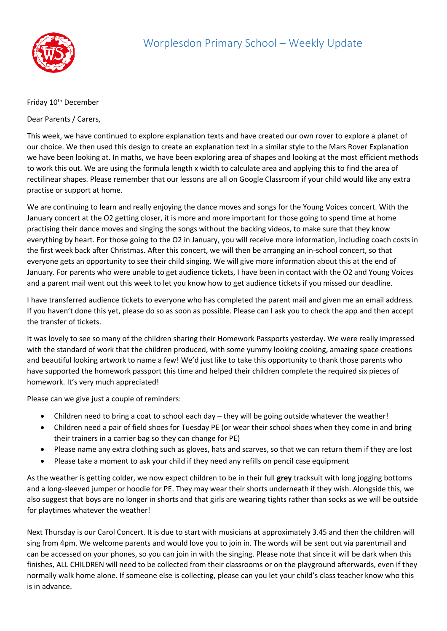

## Friday 10<sup>th</sup> December

Dear Parents / Carers,

This week, we have continued to explore explanation texts and have created our own rover to explore a planet of our choice. We then used this design to create an explanation text in a similar style to the Mars Rover Explanation we have been looking at. In maths, we have been exploring area of shapes and looking at the most efficient methods to work this out. We are using the formula length x width to calculate area and applying this to find the area of rectilinear shapes. Please remember that our lessons are all on Google Classroom if your child would like any extra practise or support at home.

We are continuing to learn and really enjoying the dance moves and songs for the Young Voices concert. With the January concert at the O2 getting closer, it is more and more important for those going to spend time at home practising their dance moves and singing the songs without the backing videos, to make sure that they know everything by heart. For those going to the O2 in January, you will receive more information, including coach costs in the first week back after Christmas. After this concert, we will then be arranging an in-school concert, so that everyone gets an opportunity to see their child singing. We will give more information about this at the end of January. For parents who were unable to get audience tickets, I have been in contact with the O2 and Young Voices and a parent mail went out this week to let you know how to get audience tickets if you missed our deadline.

I have transferred audience tickets to everyone who has completed the parent mail and given me an email address. If you haven't done this yet, please do so as soon as possible. Please can I ask you to check the app and then accept the transfer of tickets.

It was lovely to see so many of the children sharing their Homework Passports yesterday. We were really impressed with the standard of work that the children produced, with some yummy looking cooking, amazing space creations and beautiful looking artwork to name a few! We'd just like to take this opportunity to thank those parents who have supported the homework passport this time and helped their children complete the required six pieces of homework. It's very much appreciated!

Please can we give just a couple of reminders:

- Children need to bring a coat to school each day they will be going outside whatever the weather!
- Children need a pair of field shoes for Tuesday PE (or wear their school shoes when they come in and bring their trainers in a carrier bag so they can change for PE)
- Please name any extra clothing such as gloves, hats and scarves, so that we can return them if they are lost
- Please take a moment to ask your child if they need any refills on pencil case equipment

As the weather is getting colder, we now expect children to be in their full **grey** tracksuit with long jogging bottoms and a long-sleeved jumper or hoodie for PE. They may wear their shorts underneath if they wish. Alongside this, we also suggest that boys are no longer in shorts and that girls are wearing tights rather than socks as we will be outside for playtimes whatever the weather!

Next Thursday is our Carol Concert. It is due to start with musicians at approximately 3.45 and then the children will sing from 4pm. We welcome parents and would love you to join in. The words will be sent out via parentmail and can be accessed on your phones, so you can join in with the singing. Please note that since it will be dark when this finishes, ALL CHILDREN will need to be collected from their classrooms or on the playground afterwards, even if they normally walk home alone. If someone else is collecting, please can you let your child's class teacher know who this is in advance.